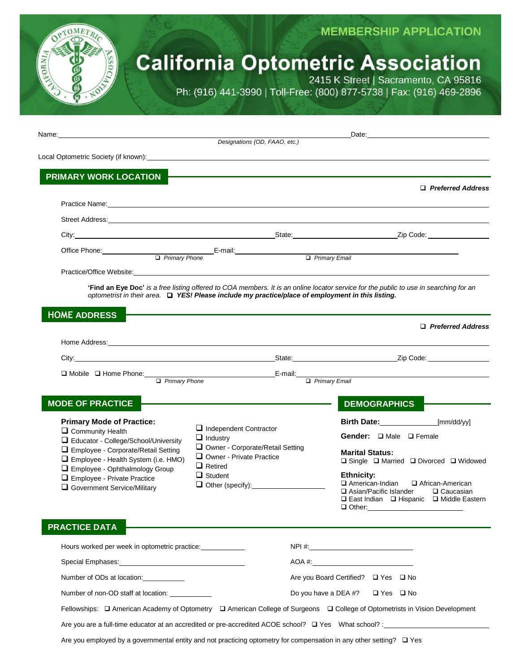

## **MEMBERSHIP APPLICATION**

# **California Optometric Association**

2415 K Street | Sacramento, CA 95816 Ph: (916) 441-3990 | Toll-Free: (800) 877-5738 | Fax: (916) 469-2896

| Name: 2008. 2009. 2009. 2009. 2009. 2009. 2009. 2009. 2009. 2009. 2009. 2009. 2009. 2009. 2009. 2009. 2009. 20                                                                                                                 |                                                                             | Designations (OD, FAAO, etc.)                                                                     |                                           |                                                                                                                                                                                                                                     |  |  |
|--------------------------------------------------------------------------------------------------------------------------------------------------------------------------------------------------------------------------------|-----------------------------------------------------------------------------|---------------------------------------------------------------------------------------------------|-------------------------------------------|-------------------------------------------------------------------------------------------------------------------------------------------------------------------------------------------------------------------------------------|--|--|
|                                                                                                                                                                                                                                |                                                                             |                                                                                                   |                                           |                                                                                                                                                                                                                                     |  |  |
| PRIMARY WORK LOCATION                                                                                                                                                                                                          |                                                                             |                                                                                                   |                                           |                                                                                                                                                                                                                                     |  |  |
|                                                                                                                                                                                                                                |                                                                             |                                                                                                   |                                           | □ Preferred Address                                                                                                                                                                                                                 |  |  |
| Practice Name: <u>Contract Communication</u> Contract Communication of the Communication Communication Communication                                                                                                           |                                                                             |                                                                                                   |                                           |                                                                                                                                                                                                                                     |  |  |
|                                                                                                                                                                                                                                |                                                                             |                                                                                                   |                                           |                                                                                                                                                                                                                                     |  |  |
|                                                                                                                                                                                                                                |                                                                             |                                                                                                   |                                           | City: <u>City:</u> City: 2ip Code: 2ip Code: 2ip Code: 2ip Code: 2ip Code: 2ip Code: 2ip Code: 2ip Code: 2ip Code: 2ip Code: 2ip Code: 2ip Code: 2ip Code: 2ip Code: 2ip Code: 2ip Code: 2ip Code: 2ip Code: 2ip Code: 2ip Code: 2i |  |  |
| Office Phone: <u>Cambridge</u>                                                                                                                                                                                                 |                                                                             | E-mail: E-mail:                                                                                   |                                           | $\Box$ Primary Email                                                                                                                                                                                                                |  |  |
| Practice/Office Website: Network and the state of the state of the state of the state of the state of the state of the state of the state of the state of the state of the state of the state of the state of the state of the |                                                                             |                                                                                                   |                                           |                                                                                                                                                                                                                                     |  |  |
|                                                                                                                                                                                                                                |                                                                             |                                                                                                   |                                           | 'Find an Eye Doc' is a free listing offered to COA members. It is an online locator service for the public to use in searching for an                                                                                               |  |  |
|                                                                                                                                                                                                                                |                                                                             | optometrist in their area. Q YES! Please include my practice/place of employment in this listing. |                                           |                                                                                                                                                                                                                                     |  |  |
| <b>HOME ADDRESS</b>                                                                                                                                                                                                            |                                                                             |                                                                                                   |                                           |                                                                                                                                                                                                                                     |  |  |
|                                                                                                                                                                                                                                |                                                                             |                                                                                                   |                                           | $\Box$ Preferred Address                                                                                                                                                                                                            |  |  |
|                                                                                                                                                                                                                                |                                                                             |                                                                                                   |                                           |                                                                                                                                                                                                                                     |  |  |
|                                                                                                                                                                                                                                |                                                                             |                                                                                                   |                                           |                                                                                                                                                                                                                                     |  |  |
| □ Mobile □ Home Phone:                                                                                                                                                                                                         | $\Box$ Primary Phone                                                        | E-mail: E-mail: Primary Email                                                                     |                                           |                                                                                                                                                                                                                                     |  |  |
|                                                                                                                                                                                                                                |                                                                             |                                                                                                   |                                           |                                                                                                                                                                                                                                     |  |  |
| <b>MODE OF PRACTICE</b>                                                                                                                                                                                                        |                                                                             |                                                                                                   |                                           | <b>DEMOGRAPHICS</b>                                                                                                                                                                                                                 |  |  |
| <b>Primary Mode of Practice:</b>                                                                                                                                                                                               |                                                                             | $\Box$ Independent Contractor                                                                     |                                           | [mm/dd/yy]<br>Birth Date: 1988                                                                                                                                                                                                      |  |  |
|                                                                                                                                                                                                                                | Community Health<br>$\Box$ Industry<br>Educator - College/School/University |                                                                                                   |                                           | Gender: I Male I Female                                                                                                                                                                                                             |  |  |
| Employee - Corporate/Retail Setting<br>Employee - Health System (i.e. HMO)                                                                                                                                                     |                                                                             | Owner - Corporate/Retail Setting<br>$\Box$ Owner - Private Practice                               |                                           | <b>Marital Status:</b>                                                                                                                                                                                                              |  |  |
| Employee - Ophthalmology Group                                                                                                                                                                                                 |                                                                             | $\Box$ Retired<br>$\Box$ Student                                                                  |                                           | $\Box$ Single $\Box$ Married $\Box$ Divorced $\Box$ Widowed<br><b>Ethnicity:</b>                                                                                                                                                    |  |  |
| Employee - Private Practice<br>Government Service/Military                                                                                                                                                                     |                                                                             |                                                                                                   |                                           | American-Indian<br>African-American<br><b>□ Asian/Pacific Islander</b><br>$\Box$ Caucasian                                                                                                                                          |  |  |
|                                                                                                                                                                                                                                |                                                                             |                                                                                                   |                                           | □ East Indian □ Hispanic □ Middle Eastern                                                                                                                                                                                           |  |  |
|                                                                                                                                                                                                                                |                                                                             |                                                                                                   |                                           | $\Box$ Other:                                                                                                                                                                                                                       |  |  |
| <b>PRACTICE DATA</b>                                                                                                                                                                                                           |                                                                             |                                                                                                   |                                           |                                                                                                                                                                                                                                     |  |  |
| Hours worked per week in optometric practice:                                                                                                                                                                                  |                                                                             |                                                                                                   |                                           |                                                                                                                                                                                                                                     |  |  |
|                                                                                                                                                                                                                                |                                                                             |                                                                                                   |                                           |                                                                                                                                                                                                                                     |  |  |
| Number of ODs at location:                                                                                                                                                                                                     |                                                                             |                                                                                                   | Are you Board Certified? □ Yes □ No       |                                                                                                                                                                                                                                     |  |  |
| Number of non-OD staff at location:                                                                                                                                                                                            |                                                                             |                                                                                                   | Do you have a DEA #? $\Box$ Yes $\Box$ No |                                                                                                                                                                                                                                     |  |  |
|                                                                                                                                                                                                                                |                                                                             |                                                                                                   |                                           | Fellowships: $\Box$ American Academy of Optometry $\Box$ American College of Surgeons $\Box$ College of Optometrists in Vision Development                                                                                          |  |  |
|                                                                                                                                                                                                                                |                                                                             |                                                                                                   |                                           |                                                                                                                                                                                                                                     |  |  |